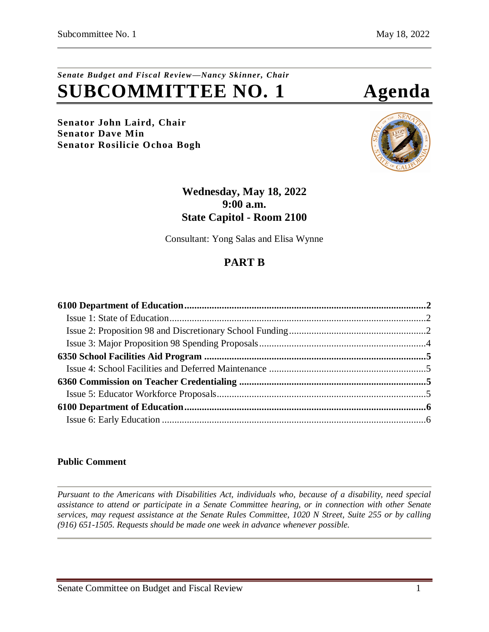# *Senate Budget and Fiscal Review—Nancy Skinner, Chair* **SUBCOMMITTEE NO. 1 Agenda**

**Senator John Laird, Chair Senator Dave Min Senator Rosilicie Ochoa Bogh**



### **Wednesday, May 18, 2022 9:00 a.m. State Capitol - Room 2100**

Consultant: Yong Salas and Elisa Wynne

# **PART B**

### **Public Comment**

*Pursuant to the Americans with Disabilities Act, individuals who, because of a disability, need special assistance to attend or participate in a Senate Committee hearing, or in connection with other Senate services, may request assistance at the Senate Rules Committee, 1020 N Street, Suite 255 or by calling (916) 651-1505. Requests should be made one week in advance whenever possible.*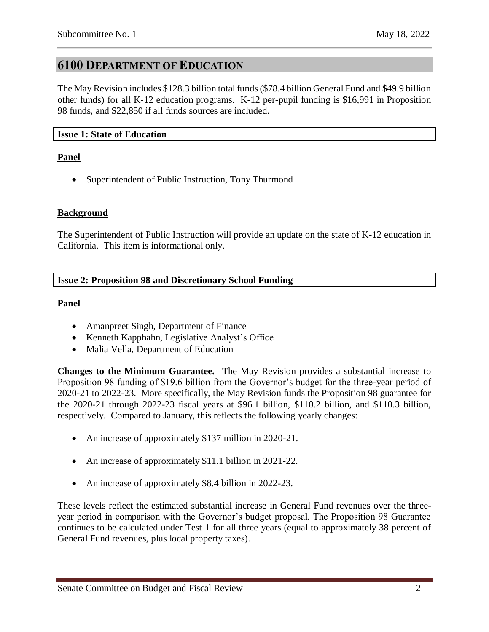## <span id="page-1-0"></span>**6100 DEPARTMENT OF EDUCATION**

The May Revision includes \$128.3 billion total funds (\$78.4 billion General Fund and \$49.9 billion other funds) for all K-12 education programs. K-12 per-pupil funding is \$16,991 in Proposition 98 funds, and \$22,850 if all funds sources are included.

#### <span id="page-1-1"></span>**Issue 1: State of Education**

#### **Panel**

• Superintendent of Public Instruction, Tony Thurmond

#### **Background**

The Superintendent of Public Instruction will provide an update on the state of K-12 education in California. This item is informational only.

#### <span id="page-1-2"></span>**Issue 2: Proposition 98 and Discretionary School Funding**

#### **Panel**

- Amanpreet Singh, Department of Finance
- Kenneth Kapphahn, Legislative Analyst's Office
- Malia Vella, Department of Education

**Changes to the Minimum Guarantee.** The May Revision provides a substantial increase to Proposition 98 funding of \$19.6 billion from the Governor's budget for the three-year period of 2020-21 to 2022-23. More specifically, the May Revision funds the Proposition 98 guarantee for the 2020-21 through 2022-23 fiscal years at \$96.1 billion, \$110.2 billion, and \$110.3 billion, respectively. Compared to January, this reflects the following yearly changes:

- An increase of approximately \$137 million in 2020-21.
- An increase of approximately \$11.1 billion in 2021-22.
- An increase of approximately \$8.4 billion in 2022-23.

These levels reflect the estimated substantial increase in General Fund revenues over the threeyear period in comparison with the Governor's budget proposal. The Proposition 98 Guarantee continues to be calculated under Test 1 for all three years (equal to approximately 38 percent of General Fund revenues, plus local property taxes).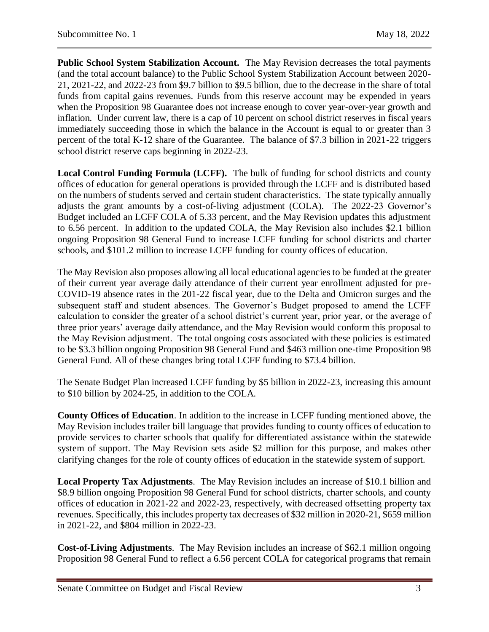**Public School System Stabilization Account.** The May Revision decreases the total payments (and the total account balance) to the Public School System Stabilization Account between 2020- 21, 2021-22, and 2022-23 from \$9.7 billion to \$9.5 billion, due to the decrease in the share of total funds from capital gains revenues. Funds from this reserve account may be expended in years when the Proposition 98 Guarantee does not increase enough to cover year-over-year growth and inflation. Under current law, there is a cap of 10 percent on school district reserves in fiscal years immediately succeeding those in which the balance in the Account is equal to or greater than 3 percent of the total K-12 share of the Guarantee. The balance of \$7.3 billion in 2021-22 triggers school district reserve caps beginning in 2022-23.

**Local Control Funding Formula (LCFF).** The bulk of funding for school districts and county offices of education for general operations is provided through the LCFF and is distributed based on the numbers of students served and certain student characteristics. The state typically annually adjusts the grant amounts by a cost-of-living adjustment (COLA). The 2022-23 Governor's Budget included an LCFF COLA of 5.33 percent, and the May Revision updates this adjustment to 6.56 percent. In addition to the updated COLA, the May Revision also includes \$2.1 billion ongoing Proposition 98 General Fund to increase LCFF funding for school districts and charter schools, and \$101.2 million to increase LCFF funding for county offices of education.

The May Revision also proposes allowing all local educational agencies to be funded at the greater of their current year average daily attendance of their current year enrollment adjusted for pre-COVID-19 absence rates in the 201-22 fiscal year, due to the Delta and Omicron surges and the subsequent staff and student absences. The Governor's Budget proposed to amend the LCFF calculation to consider the greater of a school district's current year, prior year, or the average of three prior years' average daily attendance, and the May Revision would conform this proposal to the May Revision adjustment. The total ongoing costs associated with these policies is estimated to be \$3.3 billion ongoing Proposition 98 General Fund and \$463 million one-time Proposition 98 General Fund. All of these changes bring total LCFF funding to \$73.4 billion.

The Senate Budget Plan increased LCFF funding by \$5 billion in 2022-23, increasing this amount to \$10 billion by 2024-25, in addition to the COLA.

**County Offices of Education**. In addition to the increase in LCFF funding mentioned above, the May Revision includes trailer bill language that provides funding to county offices of education to provide services to charter schools that qualify for differentiated assistance within the statewide system of support. The May Revision sets aside \$2 million for this purpose, and makes other clarifying changes for the role of county offices of education in the statewide system of support.

**Local Property Tax Adjustments**. The May Revision includes an increase of \$10.1 billion and \$8.9 billion ongoing Proposition 98 General Fund for school districts, charter schools, and county offices of education in 2021-22 and 2022-23, respectively, with decreased offsetting property tax revenues. Specifically, this includes property tax decreases of \$32 million in 2020-21, \$659 million in 2021-22, and \$804 million in 2022-23.

**Cost-of-Living Adjustments**. The May Revision includes an increase of \$62.1 million ongoing Proposition 98 General Fund to reflect a 6.56 percent COLA for categorical programs that remain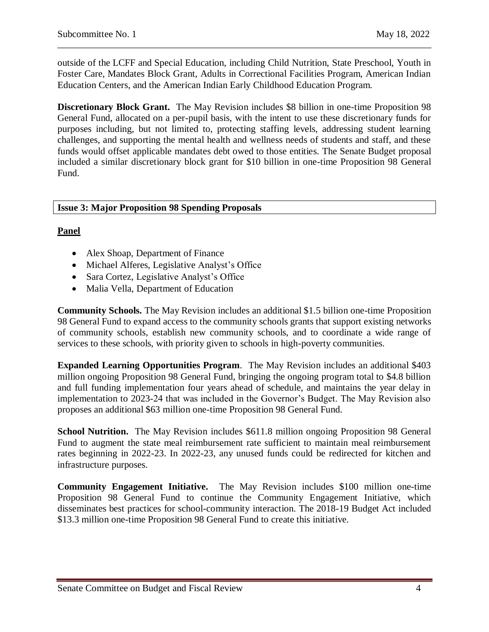outside of the LCFF and Special Education, including Child Nutrition, State Preschool, Youth in Foster Care, Mandates Block Grant, Adults in Correctional Facilities Program, American Indian Education Centers, and the American Indian Early Childhood Education Program.

**Discretionary Block Grant.** The May Revision includes \$8 billion in one-time Proposition 98 General Fund, allocated on a per-pupil basis, with the intent to use these discretionary funds for purposes including, but not limited to, protecting staffing levels, addressing student learning challenges, and supporting the mental health and wellness needs of students and staff, and these funds would offset applicable mandates debt owed to those entities. The Senate Budget proposal included a similar discretionary block grant for \$10 billion in one-time Proposition 98 General Fund.

#### <span id="page-3-0"></span>**Issue 3: Major Proposition 98 Spending Proposals**

#### **Panel**

- Alex Shoap, Department of Finance
- Michael Alferes, Legislative Analyst's Office
- Sara Cortez, Legislative Analyst's Office
- Malia Vella, Department of Education

**Community Schools.** The May Revision includes an additional \$1.5 billion one-time Proposition 98 General Fund to expand access to the community schools grants that support existing networks of community schools, establish new community schools, and to coordinate a wide range of services to these schools, with priority given to schools in high-poverty communities.

**Expanded Learning Opportunities Program**. The May Revision includes an additional \$403 million ongoing Proposition 98 General Fund, bringing the ongoing program total to \$4.8 billion and full funding implementation four years ahead of schedule, and maintains the year delay in implementation to 2023-24 that was included in the Governor's Budget. The May Revision also proposes an additional \$63 million one-time Proposition 98 General Fund.

**School Nutrition.** The May Revision includes \$611.8 million ongoing Proposition 98 General Fund to augment the state meal reimbursement rate sufficient to maintain meal reimbursement rates beginning in 2022-23. In 2022-23, any unused funds could be redirected for kitchen and infrastructure purposes.

**Community Engagement Initiative.** The May Revision includes \$100 million one-time Proposition 98 General Fund to continue the Community Engagement Initiative, which disseminates best practices for school-community interaction. The 2018-19 Budget Act included \$13.3 million one-time Proposition 98 General Fund to create this initiative.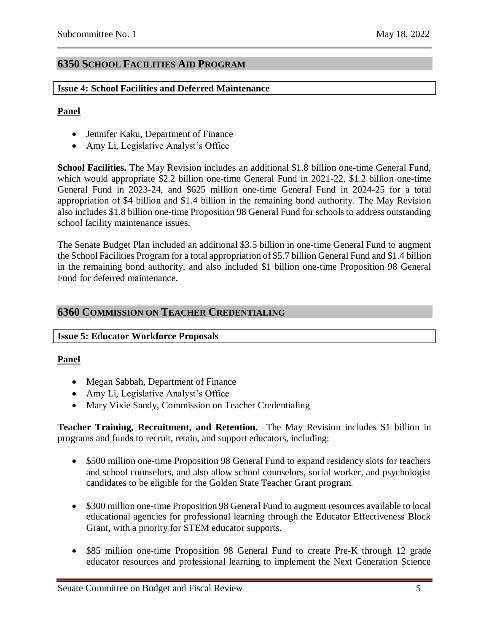### <span id="page-4-0"></span>**6350 SCHOOL FACILITIES AID PROGRAM**

#### <span id="page-4-1"></span>**Issue 4: School Facilities and Deferred Maintenance**

#### **Panel**

- Jennifer Kaku, Department of Finance
- Amy Li, Legislative Analyst's Office

**School Facilities.** The May Revision includes an additional \$1.8 billion one-time General Fund, which would appropriate \$2.2 billion one-time General Fund in 2021-22, \$1.2 billion one-time General Fund in 2023-24, and \$625 million one-time General Fund in 2024-25 for a total appropriation of \$4 billion and \$1.4 billion in the remaining bond authority. The May Revision also includes \$1.8 billion one-time Proposition 98 General Fund for schools to address outstanding school facility maintenance issues.

The Senate Budget Plan included an additional \$3.5 billion in one-time General Fund to augment the School Facilities Program for a total appropriation of \$5.7 billion General Fund and \$1.4 billion in the remaining bond authority, and also included \$1 billion one-time Proposition 98 General Fund for deferred maintenance.

### <span id="page-4-2"></span>**6360 COMMISSION ON TEACHER CREDENTIALING**

#### <span id="page-4-3"></span>**Issue 5: Educator Workforce Proposals**

#### **Panel**

- Megan Sabbah, Department of Finance
- Amy Li, Legislative Analyst's Office
- Mary Vixie Sandy, Commission on Teacher Credentialing

**Teacher Training, Recruitment, and Retention.** The May Revision includes \$1 billion in programs and funds to recruit, retain, and support educators, including:

- \$500 million one-time Proposition 98 General Fund to expand residency slots for teachers and school counselors, and also allow school counselors, social worker, and psychologist candidates to be eligible for the Golden State Teacher Grant program.
- \$300 million one-time Proposition 98 General Fund to augment resources available to local educational agencies for professional learning through the Educator Effectiveness Block Grant, with a priority for STEM educator supports.
- \$85 million one-time Proposition 98 General Fund to create Pre-K through 12 grade educator resources and professional learning to implement the Next Generation Science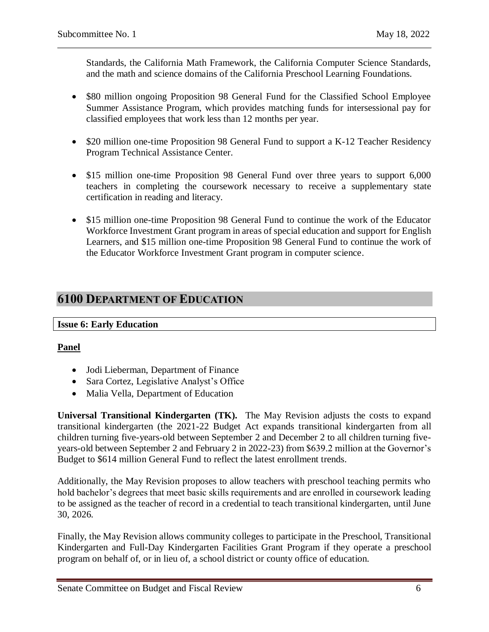Standards, the California Math Framework, the California Computer Science Standards, and the math and science domains of the California Preschool Learning Foundations.

- \$80 million ongoing Proposition 98 General Fund for the Classified School Employee Summer Assistance Program, which provides matching funds for intersessional pay for classified employees that work less than 12 months per year.
- \$20 million one-time Proposition 98 General Fund to support a K-12 Teacher Residency Program Technical Assistance Center.
- \$15 million one-time Proposition 98 General Fund over three years to support 6,000 teachers in completing the coursework necessary to receive a supplementary state certification in reading and literacy.
- \$15 million one-time Proposition 98 General Fund to continue the work of the Educator Workforce Investment Grant program in areas of special education and support for English Learners, and \$15 million one-time Proposition 98 General Fund to continue the work of the Educator Workforce Investment Grant program in computer science.

# <span id="page-5-0"></span>**6100 DEPARTMENT OF EDUCATION**

#### <span id="page-5-1"></span>**Issue 6: Early Education**

#### **Panel**

- Jodi Lieberman, Department of Finance
- Sara Cortez, Legislative Analyst's Office
- Malia Vella, Department of Education

**Universal Transitional Kindergarten (TK).** The May Revision adjusts the costs to expand transitional kindergarten (the 2021-22 Budget Act expands transitional kindergarten from all children turning five-years-old between September 2 and December 2 to all children turning fiveyears-old between September 2 and February 2 in 2022-23) from \$639.2 million at the Governor's Budget to \$614 million General Fund to reflect the latest enrollment trends.

Additionally, the May Revision proposes to allow teachers with preschool teaching permits who hold bachelor's degrees that meet basic skills requirements and are enrolled in coursework leading to be assigned as the teacher of record in a credential to teach transitional kindergarten, until June 30, 2026.

Finally, the May Revision allows community colleges to participate in the Preschool, Transitional Kindergarten and Full-Day Kindergarten Facilities Grant Program if they operate a preschool program on behalf of, or in lieu of, a school district or county office of education.